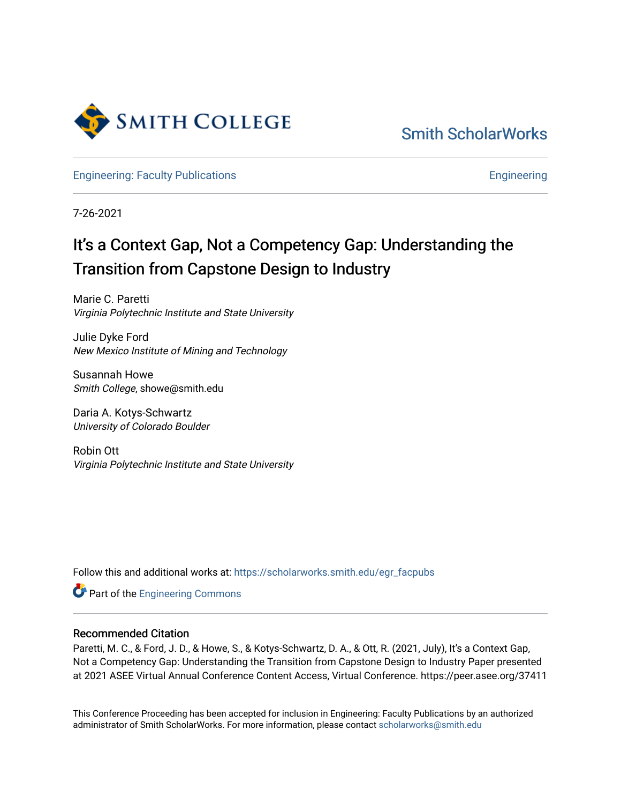

[Smith ScholarWorks](https://scholarworks.smith.edu/) 

[Engineering: Faculty Publications](https://scholarworks.smith.edu/egr_facpubs) **Engineering** 

7-26-2021

## It's a Context Gap, Not a Competency Gap: Understanding the Transition from Capstone Design to Industry

Marie C. Paretti Virginia Polytechnic Institute and State University

Julie Dyke Ford New Mexico Institute of Mining and Technology

Susannah Howe Smith College, showe@smith.edu

Daria A. Kotys-Schwartz University of Colorado Boulder

Robin Ott Virginia Polytechnic Institute and State University

Follow this and additional works at: [https://scholarworks.smith.edu/egr\\_facpubs](https://scholarworks.smith.edu/egr_facpubs?utm_source=scholarworks.smith.edu%2Fegr_facpubs%2F105&utm_medium=PDF&utm_campaign=PDFCoverPages) 

**Part of the [Engineering Commons](http://network.bepress.com/hgg/discipline/217?utm_source=scholarworks.smith.edu%2Fegr_facpubs%2F105&utm_medium=PDF&utm_campaign=PDFCoverPages)** 

#### Recommended Citation

Paretti, M. C., & Ford, J. D., & Howe, S., & Kotys-Schwartz, D. A., & Ott, R. (2021, July), It's a Context Gap, Not a Competency Gap: Understanding the Transition from Capstone Design to Industry Paper presented at 2021 ASEE Virtual Annual Conference Content Access, Virtual Conference. https://peer.asee.org/37411

This Conference Proceeding has been accepted for inclusion in Engineering: Faculty Publications by an authorized administrator of Smith ScholarWorks. For more information, please contact [scholarworks@smith.edu](mailto:scholarworks@smith.edu)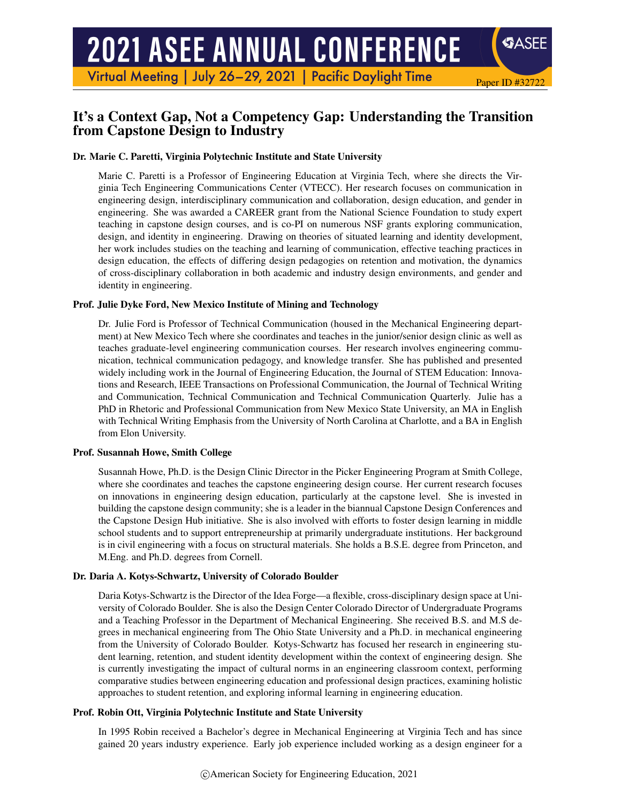# **2021 ASEE ANNUAL CONFERENCE**

Virtual Meeting | July 26-29, 2021 | Pacific Daylight Time

## It's a Context Gap, Not a Competency Gap: Understanding the Transition from Capstone Design to Industry

Paper ID #32722

SASEE

#### Dr. Marie C. Paretti, Virginia Polytechnic Institute and State University

Marie C. Paretti is a Professor of Engineering Education at Virginia Tech, where she directs the Virginia Tech Engineering Communications Center (VTECC). Her research focuses on communication in engineering design, interdisciplinary communication and collaboration, design education, and gender in engineering. She was awarded a CAREER grant from the National Science Foundation to study expert teaching in capstone design courses, and is co-PI on numerous NSF grants exploring communication, design, and identity in engineering. Drawing on theories of situated learning and identity development, her work includes studies on the teaching and learning of communication, effective teaching practices in design education, the effects of differing design pedagogies on retention and motivation, the dynamics of cross-disciplinary collaboration in both academic and industry design environments, and gender and identity in engineering.

#### Prof. Julie Dyke Ford, New Mexico Institute of Mining and Technology

Dr. Julie Ford is Professor of Technical Communication (housed in the Mechanical Engineering department) at New Mexico Tech where she coordinates and teaches in the junior/senior design clinic as well as teaches graduate-level engineering communication courses. Her research involves engineering communication, technical communication pedagogy, and knowledge transfer. She has published and presented widely including work in the Journal of Engineering Education, the Journal of STEM Education: Innovations and Research, IEEE Transactions on Professional Communication, the Journal of Technical Writing and Communication, Technical Communication and Technical Communication Quarterly. Julie has a PhD in Rhetoric and Professional Communication from New Mexico State University, an MA in English with Technical Writing Emphasis from the University of North Carolina at Charlotte, and a BA in English from Elon University.

#### Prof. Susannah Howe, Smith College

Susannah Howe, Ph.D. is the Design Clinic Director in the Picker Engineering Program at Smith College, where she coordinates and teaches the capstone engineering design course. Her current research focuses on innovations in engineering design education, particularly at the capstone level. She is invested in building the capstone design community; she is a leader in the biannual Capstone Design Conferences and the Capstone Design Hub initiative. She is also involved with efforts to foster design learning in middle school students and to support entrepreneurship at primarily undergraduate institutions. Her background is in civil engineering with a focus on structural materials. She holds a B.S.E. degree from Princeton, and M.Eng. and Ph.D. degrees from Cornell.

#### Dr. Daria A. Kotys-Schwartz, University of Colorado Boulder

Daria Kotys-Schwartz is the Director of the Idea Forge—a flexible, cross-disciplinary design space at University of Colorado Boulder. She is also the Design Center Colorado Director of Undergraduate Programs and a Teaching Professor in the Department of Mechanical Engineering. She received B.S. and M.S degrees in mechanical engineering from The Ohio State University and a Ph.D. in mechanical engineering from the University of Colorado Boulder. Kotys-Schwartz has focused her research in engineering student learning, retention, and student identity development within the context of engineering design. She is currently investigating the impact of cultural norms in an engineering classroom context, performing comparative studies between engineering education and professional design practices, examining holistic approaches to student retention, and exploring informal learning in engineering education.

#### Prof. Robin Ott, Virginia Polytechnic Institute and State University

In 1995 Robin received a Bachelor's degree in Mechanical Engineering at Virginia Tech and has since gained 20 years industry experience. Early job experience included working as a design engineer for a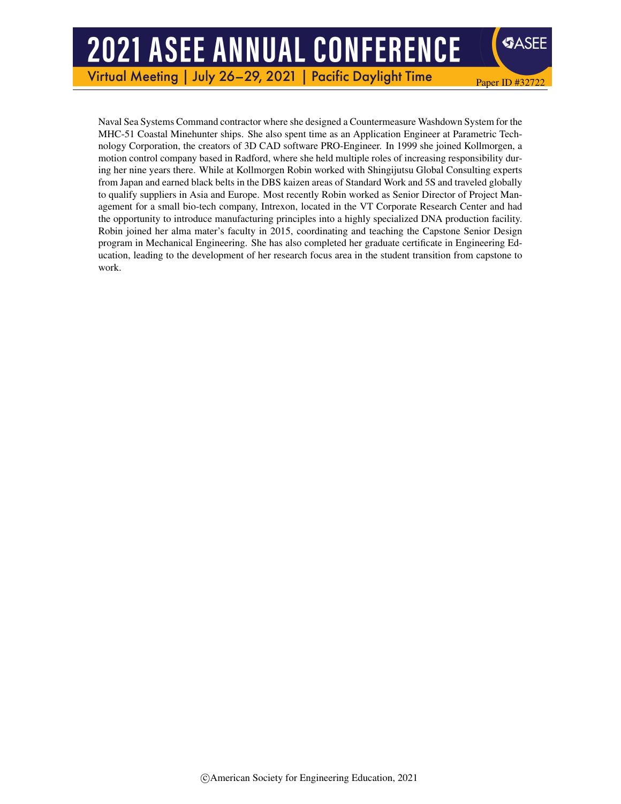## **2021 ASEE ANNUAL CONFERENCE**

Virtual Meeting | July 26-29, 2021 | **Pacific Daylight Time** 

**SASEE** 

Paper ID #32722

Naval Sea Systems Command contractor where she designed a Countermeasure Washdown System for the MHC-51 Coastal Minehunter ships. She also spent time as an Application Engineer at Parametric Technology Corporation, the creators of 3D CAD software PRO-Engineer. In 1999 she joined Kollmorgen, a motion control company based in Radford, where she held multiple roles of increasing responsibility during her nine years there. While at Kollmorgen Robin worked with Shingijutsu Global Consulting experts from Japan and earned black belts in the DBS kaizen areas of Standard Work and 5S and traveled globally to qualify suppliers in Asia and Europe. Most recently Robin worked as Senior Director of Project Management for a small bio-tech company, Intrexon, located in the VT Corporate Research Center and had the opportunity to introduce manufacturing principles into a highly specialized DNA production facility. Robin joined her alma mater's faculty in 2015, coordinating and teaching the Capstone Senior Design program in Mechanical Engineering. She has also completed her graduate certificate in Engineering Education, leading to the development of her research focus area in the student transition from capstone to work.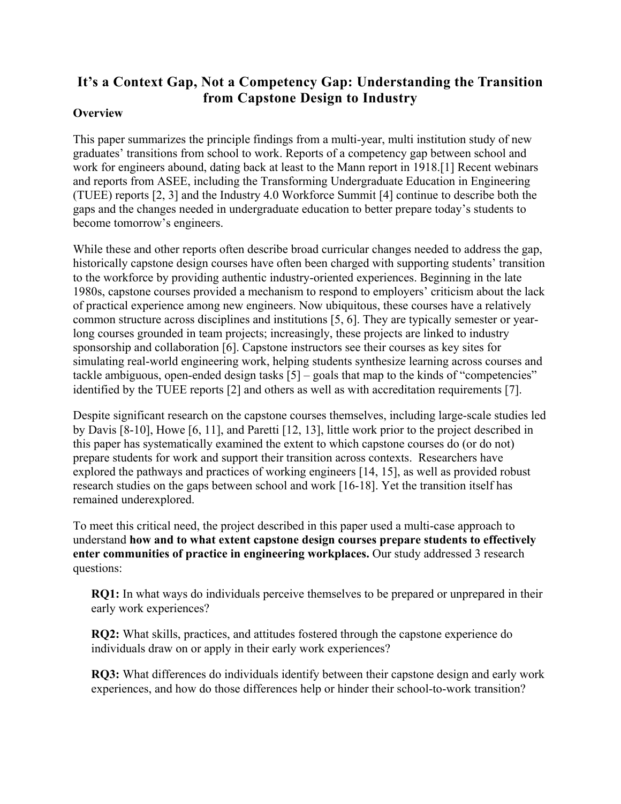## **It's a Context Gap, Not a Competency Gap: Understanding the Transition from Capstone Design to Industry**

#### **Overview**

This paper summarizes the principle findings from a multi-year, multi institution study of new graduates' transitions from school to work. Reports of a competency gap between school and work for engineers abound, dating back at least to the Mann report in 1918.[1] Recent webinars and reports from ASEE, including the Transforming Undergraduate Education in Engineering (TUEE) reports [2, 3] and the Industry 4.0 Workforce Summit [4] continue to describe both the gaps and the changes needed in undergraduate education to better prepare today's students to become tomorrow's engineers.

While these and other reports often describe broad curricular changes needed to address the gap, historically capstone design courses have often been charged with supporting students' transition to the workforce by providing authentic industry-oriented experiences. Beginning in the late 1980s, capstone courses provided a mechanism to respond to employers' criticism about the lack of practical experience among new engineers. Now ubiquitous, these courses have a relatively common structure across disciplines and institutions [5, 6]. They are typically semester or yearlong courses grounded in team projects; increasingly, these projects are linked to industry sponsorship and collaboration [6]. Capstone instructors see their courses as key sites for simulating real-world engineering work, helping students synthesize learning across courses and tackle ambiguous, open-ended design tasks  $\lceil 5 \rceil$  – goals that map to the kinds of "competencies" identified by the TUEE reports [2] and others as well as with accreditation requirements [7].

Despite significant research on the capstone courses themselves, including large-scale studies led by Davis [8-10], Howe [6, 11], and Paretti [12, 13], little work prior to the project described in this paper has systematically examined the extent to which capstone courses do (or do not) prepare students for work and support their transition across contexts. Researchers have explored the pathways and practices of working engineers [14, 15], as well as provided robust research studies on the gaps between school and work [16-18]. Yet the transition itself has remained underexplored.

To meet this critical need, the project described in this paper used a multi-case approach to understand **how and to what extent capstone design courses prepare students to effectively enter communities of practice in engineering workplaces.** Our study addressed 3 research questions:

**RQ1:** In what ways do individuals perceive themselves to be prepared or unprepared in their early work experiences?

**RQ2:** What skills, practices, and attitudes fostered through the capstone experience do individuals draw on or apply in their early work experiences?

**RQ3:** What differences do individuals identify between their capstone design and early work experiences, and how do those differences help or hinder their school-to-work transition?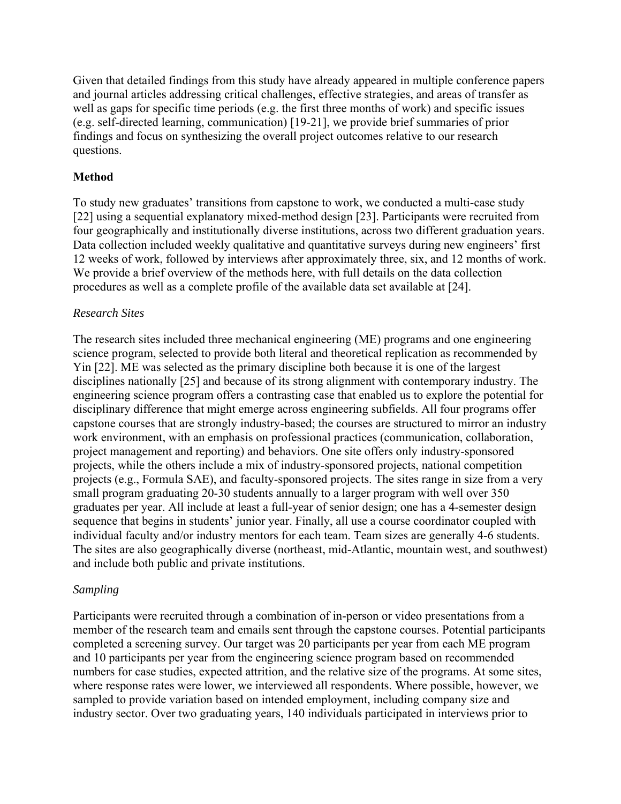Given that detailed findings from this study have already appeared in multiple conference papers and journal articles addressing critical challenges, effective strategies, and areas of transfer as well as gaps for specific time periods (e.g. the first three months of work) and specific issues (e.g. self-directed learning, communication) [19-21], we provide brief summaries of prior findings and focus on synthesizing the overall project outcomes relative to our research questions.

#### **Method**

To study new graduates' transitions from capstone to work, we conducted a multi-case study [22] using a sequential explanatory mixed-method design [23]. Participants were recruited from four geographically and institutionally diverse institutions, across two different graduation years. Data collection included weekly qualitative and quantitative surveys during new engineers' first 12 weeks of work, followed by interviews after approximately three, six, and 12 months of work. We provide a brief overview of the methods here, with full details on the data collection procedures as well as a complete profile of the available data set available at [24].

#### *Research Sites*

The research sites included three mechanical engineering (ME) programs and one engineering science program, selected to provide both literal and theoretical replication as recommended by Yin [22]. ME was selected as the primary discipline both because it is one of the largest disciplines nationally [25] and because of its strong alignment with contemporary industry. The engineering science program offers a contrasting case that enabled us to explore the potential for disciplinary difference that might emerge across engineering subfields. All four programs offer capstone courses that are strongly industry-based; the courses are structured to mirror an industry work environment, with an emphasis on professional practices (communication, collaboration, project management and reporting) and behaviors. One site offers only industry-sponsored projects, while the others include a mix of industry-sponsored projects, national competition projects (e.g., Formula SAE), and faculty-sponsored projects. The sites range in size from a very small program graduating 20-30 students annually to a larger program with well over 350 graduates per year. All include at least a full-year of senior design; one has a 4-semester design sequence that begins in students' junior year. Finally, all use a course coordinator coupled with individual faculty and/or industry mentors for each team. Team sizes are generally 4-6 students. The sites are also geographically diverse (northeast, mid-Atlantic, mountain west, and southwest) and include both public and private institutions.

#### *Sampling*

Participants were recruited through a combination of in-person or video presentations from a member of the research team and emails sent through the capstone courses. Potential participants completed a screening survey. Our target was 20 participants per year from each ME program and 10 participants per year from the engineering science program based on recommended numbers for case studies, expected attrition, and the relative size of the programs. At some sites, where response rates were lower, we interviewed all respondents. Where possible, however, we sampled to provide variation based on intended employment, including company size and industry sector. Over two graduating years, 140 individuals participated in interviews prior to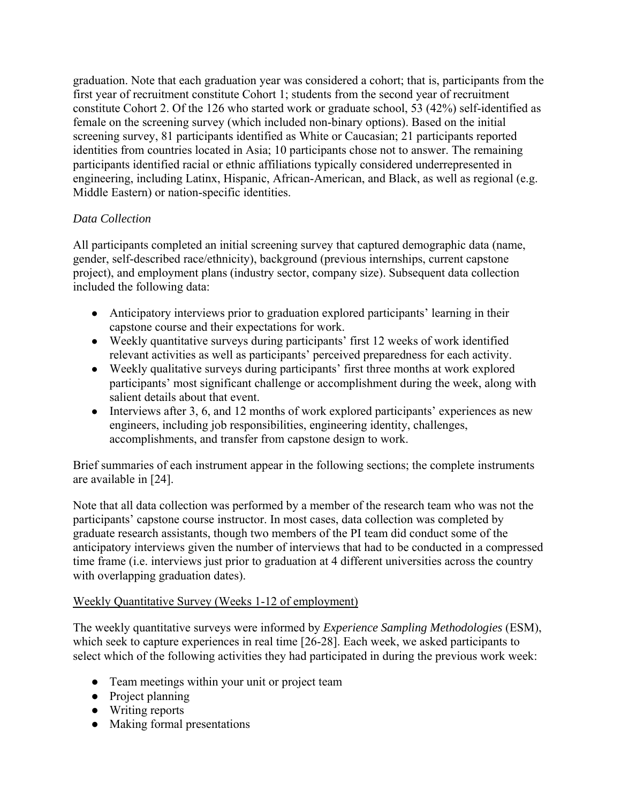graduation. Note that each graduation year was considered a cohort; that is, participants from the first year of recruitment constitute Cohort 1; students from the second year of recruitment constitute Cohort 2. Of the 126 who started work or graduate school, 53 (42%) self-identified as female on the screening survey (which included non-binary options). Based on the initial screening survey, 81 participants identified as White or Caucasian; 21 participants reported identities from countries located in Asia; 10 participants chose not to answer. The remaining participants identified racial or ethnic affiliations typically considered underrepresented in engineering, including Latinx, Hispanic, African-American, and Black, as well as regional (e.g. Middle Eastern) or nation-specific identities.

## *Data Collection*

All participants completed an initial screening survey that captured demographic data (name, gender, self-described race/ethnicity), background (previous internships, current capstone project), and employment plans (industry sector, company size). Subsequent data collection included the following data:

- Anticipatory interviews prior to graduation explored participants' learning in their capstone course and their expectations for work.
- Weekly quantitative surveys during participants' first 12 weeks of work identified relevant activities as well as participants' perceived preparedness for each activity.
- Weekly qualitative surveys during participants' first three months at work explored participants' most significant challenge or accomplishment during the week, along with salient details about that event.
- Interviews after 3, 6, and 12 months of work explored participants' experiences as new engineers, including job responsibilities, engineering identity, challenges, accomplishments, and transfer from capstone design to work.

Brief summaries of each instrument appear in the following sections; the complete instruments are available in [24].

Note that all data collection was performed by a member of the research team who was not the participants' capstone course instructor. In most cases, data collection was completed by graduate research assistants, though two members of the PI team did conduct some of the anticipatory interviews given the number of interviews that had to be conducted in a compressed time frame (i.e. interviews just prior to graduation at 4 different universities across the country with overlapping graduation dates).

## Weekly Quantitative Survey (Weeks 1-12 of employment)

The weekly quantitative surveys were informed by *Experience Sampling Methodologies* (ESM), which seek to capture experiences in real time [26-28]. Each week, we asked participants to select which of the following activities they had participated in during the previous work week:

- Team meetings within your unit or project team
- Project planning
- Writing reports
- Making formal presentations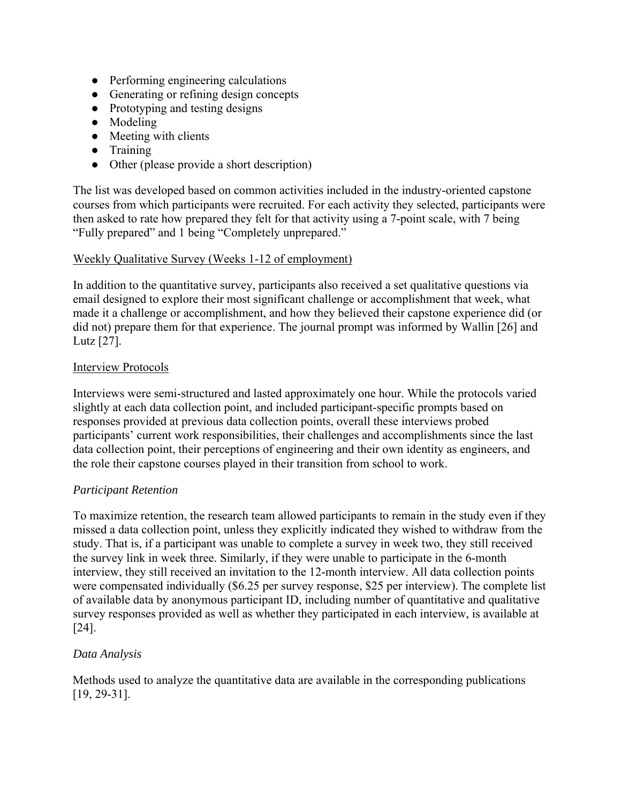- Performing engineering calculations
- Generating or refining design concepts
- Prototyping and testing designs
- Modeling
- Meeting with clients
- Training
- Other (please provide a short description)

The list was developed based on common activities included in the industry-oriented capstone courses from which participants were recruited. For each activity they selected, participants were then asked to rate how prepared they felt for that activity using a 7-point scale, with 7 being "Fully prepared" and 1 being "Completely unprepared."

## Weekly Qualitative Survey (Weeks 1-12 of employment)

In addition to the quantitative survey, participants also received a set qualitative questions via email designed to explore their most significant challenge or accomplishment that week, what made it a challenge or accomplishment, and how they believed their capstone experience did (or did not) prepare them for that experience. The journal prompt was informed by Wallin [26] and Lutz [27].

## Interview Protocols

Interviews were semi-structured and lasted approximately one hour. While the protocols varied slightly at each data collection point, and included participant-specific prompts based on responses provided at previous data collection points, overall these interviews probed participants' current work responsibilities, their challenges and accomplishments since the last data collection point, their perceptions of engineering and their own identity as engineers, and the role their capstone courses played in their transition from school to work.

## *Participant Retention*

To maximize retention, the research team allowed participants to remain in the study even if they missed a data collection point, unless they explicitly indicated they wished to withdraw from the study. That is, if a participant was unable to complete a survey in week two, they still received the survey link in week three. Similarly, if they were unable to participate in the 6-month interview, they still received an invitation to the 12-month interview. All data collection points were compensated individually (\$6.25 per survey response, \$25 per interview). The complete list of available data by anonymous participant ID, including number of quantitative and qualitative survey responses provided as well as whether they participated in each interview, is available at [24].

## *Data Analysis*

Methods used to analyze the quantitative data are available in the corresponding publications [19, 29-31].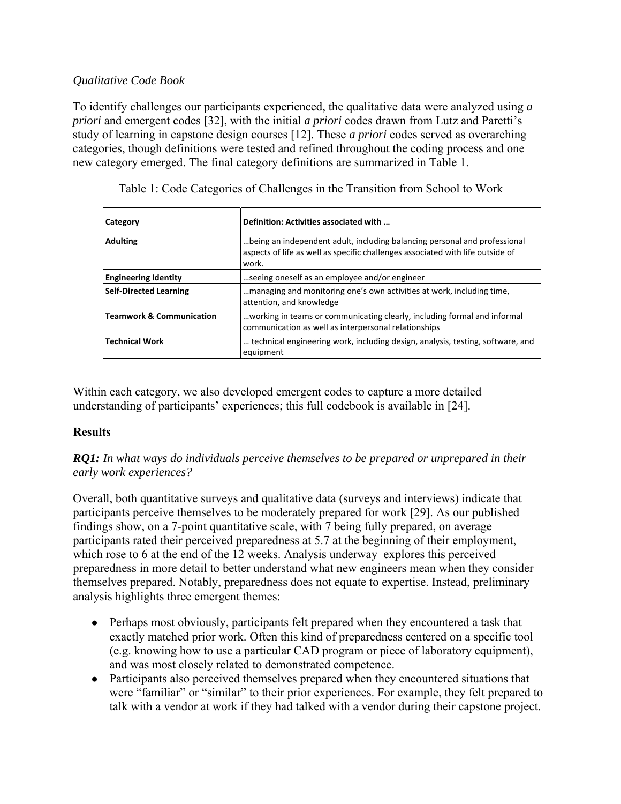## *Qualitative Code Book*

To identify challenges our participants experienced, the qualitative data were analyzed using *a priori* and emergent codes [32], with the initial *a priori* codes drawn from Lutz and Paretti's study of learning in capstone design courses [12]. These *a priori* codes served as overarching categories, though definitions were tested and refined throughout the coding process and one new category emerged. The final category definitions are summarized in Table 1.

| Category                            | Definition: Activities associated with                                                                                                                               |
|-------------------------------------|----------------------------------------------------------------------------------------------------------------------------------------------------------------------|
| <b>Adulting</b>                     | being an independent adult, including balancing personal and professional<br>aspects of life as well as specific challenges associated with life outside of<br>work. |
| <b>Engineering Identity</b>         | seeing oneself as an employee and/or engineer                                                                                                                        |
| <b>Self-Directed Learning</b>       | managing and monitoring one's own activities at work, including time,<br>attention, and knowledge                                                                    |
| <b>Teamwork &amp; Communication</b> | working in teams or communicating clearly, including formal and informal<br>communication as well as interpersonal relationships                                     |
| <b>Technical Work</b>               | technical engineering work, including design, analysis, testing, software, and<br>equipment                                                                          |

Table 1: Code Categories of Challenges in the Transition from School to Work

Within each category, we also developed emergent codes to capture a more detailed understanding of participants' experiences; this full codebook is available in [24].

## **Results**

*RQ1: In what ways do individuals perceive themselves to be prepared or unprepared in their early work experiences?* 

Overall, both quantitative surveys and qualitative data (surveys and interviews) indicate that participants perceive themselves to be moderately prepared for work [29]. As our published findings show, on a 7-point quantitative scale, with 7 being fully prepared, on average participants rated their perceived preparedness at 5.7 at the beginning of their employment, which rose to 6 at the end of the 12 weeks. Analysis underway explores this perceived preparedness in more detail to better understand what new engineers mean when they consider themselves prepared. Notably, preparedness does not equate to expertise. Instead, preliminary analysis highlights three emergent themes:

- Perhaps most obviously, participants felt prepared when they encountered a task that exactly matched prior work. Often this kind of preparedness centered on a specific tool (e.g. knowing how to use a particular CAD program or piece of laboratory equipment), and was most closely related to demonstrated competence.
- Participants also perceived themselves prepared when they encountered situations that were "familiar" or "similar" to their prior experiences. For example, they felt prepared to talk with a vendor at work if they had talked with a vendor during their capstone project.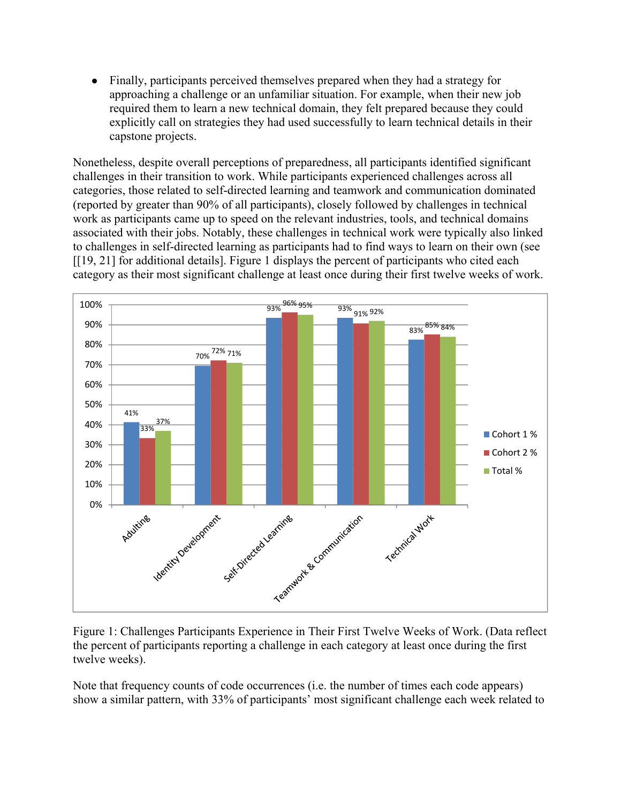• Finally, participants perceived themselves prepared when they had a strategy for approaching a challenge or an unfamiliar situation. For example, when their new job required them to learn a new technical domain, they felt prepared because they could explicitly call on strategies they had used successfully to learn technical details in their capstone projects.

Nonetheless, despite overall perceptions of preparedness, all participants identified significant challenges in their transition to work. While participants experienced challenges across all categories, those related to self-directed learning and teamwork and communication dominated (reported by greater than 90% of all participants), closely followed by challenges in technical work as participants came up to speed on the relevant industries, tools, and technical domains associated with their jobs. Notably, these challenges in technical work were typically also linked to challenges in self-directed learning as participants had to find ways to learn on their own (see [[19, 21] for additional details]. Figure 1 displays the percent of participants who cited each category as their most significant challenge at least once during their first twelve weeks of work.



Figure 1: Challenges Participants Experience in Their First Twelve Weeks of Work. (Data reflect the percent of participants reporting a challenge in each category at least once during the first twelve weeks).

Note that frequency counts of code occurrences (i.e. the number of times each code appears) show a similar pattern, with 33% of participants' most significant challenge each week related to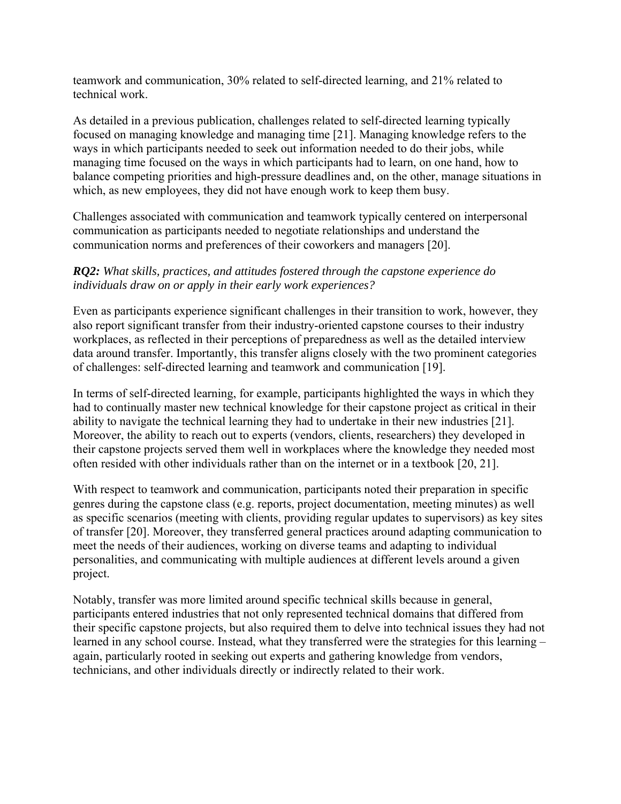teamwork and communication, 30% related to self-directed learning, and 21% related to technical work.

As detailed in a previous publication, challenges related to self-directed learning typically focused on managing knowledge and managing time [21]. Managing knowledge refers to the ways in which participants needed to seek out information needed to do their jobs, while managing time focused on the ways in which participants had to learn, on one hand, how to balance competing priorities and high-pressure deadlines and, on the other, manage situations in which, as new employees, they did not have enough work to keep them busy.

Challenges associated with communication and teamwork typically centered on interpersonal communication as participants needed to negotiate relationships and understand the communication norms and preferences of their coworkers and managers [20].

## *RQ2: What skills, practices, and attitudes fostered through the capstone experience do individuals draw on or apply in their early work experiences?*

Even as participants experience significant challenges in their transition to work, however, they also report significant transfer from their industry-oriented capstone courses to their industry workplaces, as reflected in their perceptions of preparedness as well as the detailed interview data around transfer. Importantly, this transfer aligns closely with the two prominent categories of challenges: self-directed learning and teamwork and communication [19].

In terms of self-directed learning, for example, participants highlighted the ways in which they had to continually master new technical knowledge for their capstone project as critical in their ability to navigate the technical learning they had to undertake in their new industries [21]. Moreover, the ability to reach out to experts (vendors, clients, researchers) they developed in their capstone projects served them well in workplaces where the knowledge they needed most often resided with other individuals rather than on the internet or in a textbook [20, 21].

With respect to teamwork and communication, participants noted their preparation in specific genres during the capstone class (e.g. reports, project documentation, meeting minutes) as well as specific scenarios (meeting with clients, providing regular updates to supervisors) as key sites of transfer [20]. Moreover, they transferred general practices around adapting communication to meet the needs of their audiences, working on diverse teams and adapting to individual personalities, and communicating with multiple audiences at different levels around a given project.

Notably, transfer was more limited around specific technical skills because in general, participants entered industries that not only represented technical domains that differed from their specific capstone projects, but also required them to delve into technical issues they had not learned in any school course. Instead, what they transferred were the strategies for this learning – again, particularly rooted in seeking out experts and gathering knowledge from vendors, technicians, and other individuals directly or indirectly related to their work.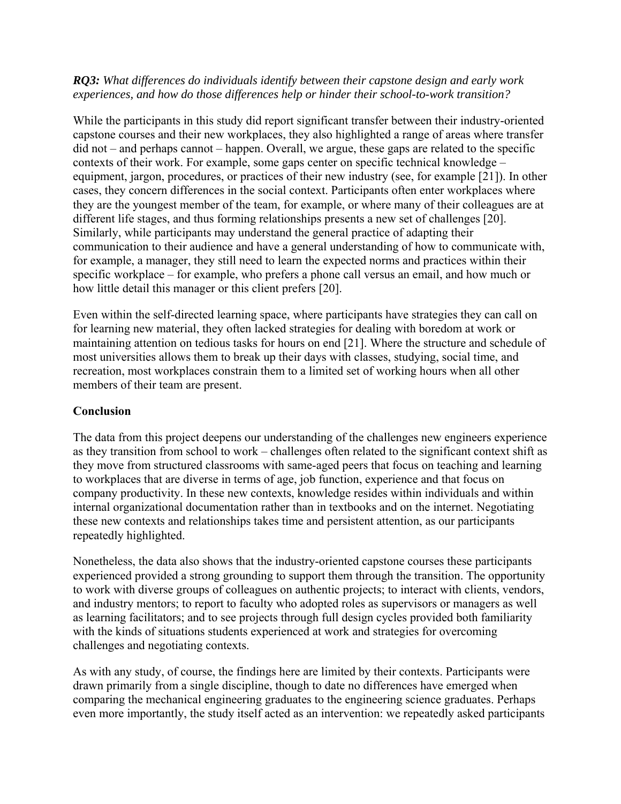## *RQ3: What differences do individuals identify between their capstone design and early work experiences, and how do those differences help or hinder their school-to-work transition?*

While the participants in this study did report significant transfer between their industry-oriented capstone courses and their new workplaces, they also highlighted a range of areas where transfer did not – and perhaps cannot – happen. Overall, we argue, these gaps are related to the specific contexts of their work. For example, some gaps center on specific technical knowledge – equipment, jargon, procedures, or practices of their new industry (see, for example [21]). In other cases, they concern differences in the social context. Participants often enter workplaces where they are the youngest member of the team, for example, or where many of their colleagues are at different life stages, and thus forming relationships presents a new set of challenges [20]. Similarly, while participants may understand the general practice of adapting their communication to their audience and have a general understanding of how to communicate with, for example, a manager, they still need to learn the expected norms and practices within their specific workplace – for example, who prefers a phone call versus an email, and how much or how little detail this manager or this client prefers [20].

Even within the self-directed learning space, where participants have strategies they can call on for learning new material, they often lacked strategies for dealing with boredom at work or maintaining attention on tedious tasks for hours on end [21]. Where the structure and schedule of most universities allows them to break up their days with classes, studying, social time, and recreation, most workplaces constrain them to a limited set of working hours when all other members of their team are present.

## **Conclusion**

The data from this project deepens our understanding of the challenges new engineers experience as they transition from school to work – challenges often related to the significant context shift as they move from structured classrooms with same-aged peers that focus on teaching and learning to workplaces that are diverse in terms of age, job function, experience and that focus on company productivity. In these new contexts, knowledge resides within individuals and within internal organizational documentation rather than in textbooks and on the internet. Negotiating these new contexts and relationships takes time and persistent attention, as our participants repeatedly highlighted.

Nonetheless, the data also shows that the industry-oriented capstone courses these participants experienced provided a strong grounding to support them through the transition. The opportunity to work with diverse groups of colleagues on authentic projects; to interact with clients, vendors, and industry mentors; to report to faculty who adopted roles as supervisors or managers as well as learning facilitators; and to see projects through full design cycles provided both familiarity with the kinds of situations students experienced at work and strategies for overcoming challenges and negotiating contexts.

As with any study, of course, the findings here are limited by their contexts. Participants were drawn primarily from a single discipline, though to date no differences have emerged when comparing the mechanical engineering graduates to the engineering science graduates. Perhaps even more importantly, the study itself acted as an intervention: we repeatedly asked participants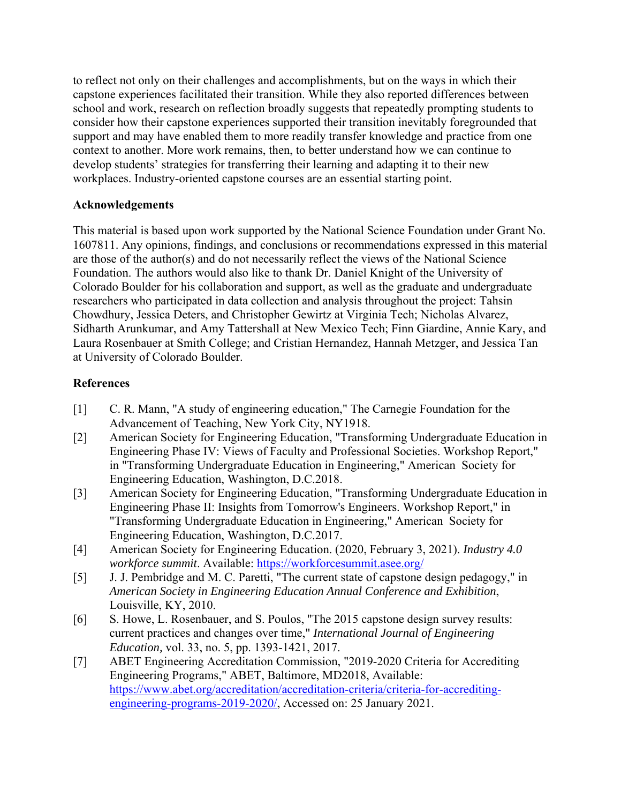to reflect not only on their challenges and accomplishments, but on the ways in which their capstone experiences facilitated their transition. While they also reported differences between school and work, research on reflection broadly suggests that repeatedly prompting students to consider how their capstone experiences supported their transition inevitably foregrounded that support and may have enabled them to more readily transfer knowledge and practice from one context to another. More work remains, then, to better understand how we can continue to develop students' strategies for transferring their learning and adapting it to their new workplaces. Industry-oriented capstone courses are an essential starting point.

## **Acknowledgements**

This material is based upon work supported by the National Science Foundation under Grant No. 1607811. Any opinions, findings, and conclusions or recommendations expressed in this material are those of the author(s) and do not necessarily reflect the views of the National Science Foundation. The authors would also like to thank Dr. Daniel Knight of the University of Colorado Boulder for his collaboration and support, as well as the graduate and undergraduate researchers who participated in data collection and analysis throughout the project: Tahsin Chowdhury, Jessica Deters, and Christopher Gewirtz at Virginia Tech; Nicholas Alvarez, Sidharth Arunkumar, and Amy Tattershall at New Mexico Tech; Finn Giardine, Annie Kary, and Laura Rosenbauer at Smith College; and Cristian Hernandez, Hannah Metzger, and Jessica Tan at University of Colorado Boulder.

## **References**

- [1] C. R. Mann, "A study of engineering education," The Carnegie Foundation for the Advancement of Teaching, New York City, NY1918.
- [2] American Society for Engineering Education, "Transforming Undergraduate Education in Engineering Phase IV: Views of Faculty and Professional Societies. Workshop Report," in "Transforming Undergraduate Education in Engineering," American Society for Engineering Education, Washington, D.C.2018.
- [3] American Society for Engineering Education, "Transforming Undergraduate Education in Engineering Phase II: Insights from Tomorrow's Engineers. Workshop Report," in "Transforming Undergraduate Education in Engineering," American Society for Engineering Education, Washington, D.C.2017.
- [4] American Society for Engineering Education. (2020, February 3, 2021). *Industry 4.0 workforce summit*. Available: https://workforcesummit.asee.org/
- [5] J. J. Pembridge and M. C. Paretti, "The current state of capstone design pedagogy," in *American Society in Engineering Education Annual Conference and Exhibition*, Louisville, KY, 2010.
- [6] S. Howe, L. Rosenbauer, and S. Poulos, "The 2015 capstone design survey results: current practices and changes over time," *International Journal of Engineering Education,* vol. 33, no. 5, pp. 1393-1421, 2017.
- [7] ABET Engineering Accreditation Commission, "2019-2020 Criteria for Accrediting Engineering Programs," ABET, Baltimore, MD2018, Available: https://www.abet.org/accreditation/accreditation-criteria/criteria-for-accreditingengineering-programs-2019-2020/, Accessed on: 25 January 2021.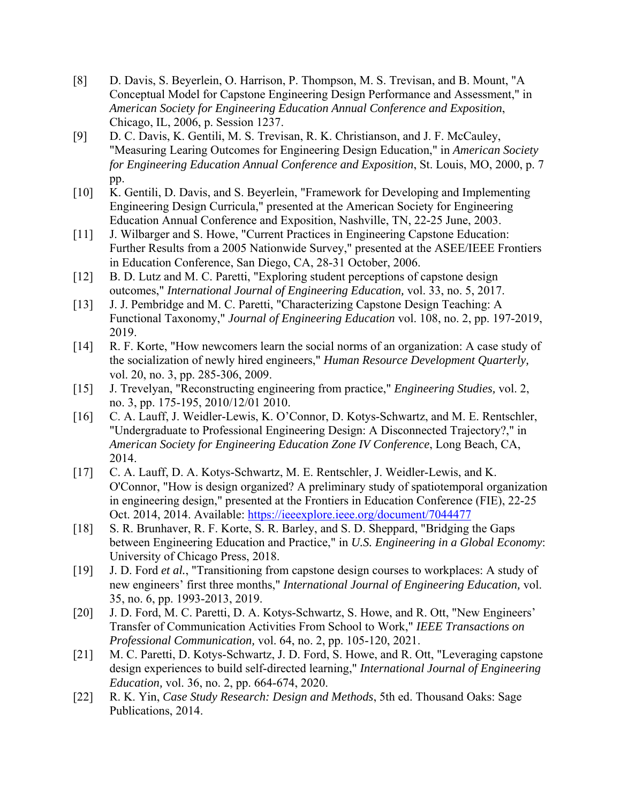- [8] D. Davis, S. Beyerlein, O. Harrison, P. Thompson, M. S. Trevisan, and B. Mount, "A Conceptual Model for Capstone Engineering Design Performance and Assessment," in *American Society for Engineering Education Annual Conference and Exposition*, Chicago, IL, 2006, p. Session 1237.
- [9] D. C. Davis, K. Gentili, M. S. Trevisan, R. K. Christianson, and J. F. McCauley, "Measuring Learing Outcomes for Engineering Design Education," in *American Society for Engineering Education Annual Conference and Exposition*, St. Louis, MO, 2000, p. 7 pp.
- [10] K. Gentili, D. Davis, and S. Beyerlein, "Framework for Developing and Implementing Engineering Design Curricula," presented at the American Society for Engineering Education Annual Conference and Exposition, Nashville, TN, 22-25 June, 2003.
- [11] J. Wilbarger and S. Howe, "Current Practices in Engineering Capstone Education: Further Results from a 2005 Nationwide Survey," presented at the ASEE/IEEE Frontiers in Education Conference, San Diego, CA, 28-31 October, 2006.
- [12] B. D. Lutz and M. C. Paretti, "Exploring student perceptions of capstone design outcomes," *International Journal of Engineering Education,* vol. 33, no. 5, 2017.
- [13] J. J. Pembridge and M. C. Paretti, "Characterizing Capstone Design Teaching: A Functional Taxonomy," *Journal of Engineering Education* vol. 108, no. 2, pp. 197-2019, 2019.
- [14] R. F. Korte, "How newcomers learn the social norms of an organization: A case study of the socialization of newly hired engineers," *Human Resource Development Quarterly,*  vol. 20, no. 3, pp. 285-306, 2009.
- [15] J. Trevelyan, "Reconstructing engineering from practice," *Engineering Studies,* vol. 2, no. 3, pp. 175-195, 2010/12/01 2010.
- [16] C. A. Lauff, J. Weidler-Lewis, K. O'Connor, D. Kotys-Schwartz, and M. E. Rentschler, "Undergraduate to Professional Engineering Design: A Disconnected Trajectory?," in *American Society for Engineering Education Zone IV Conference*, Long Beach, CA, 2014.
- [17] C. A. Lauff, D. A. Kotys-Schwartz, M. E. Rentschler, J. Weidler-Lewis, and K. O'Connor, "How is design organized? A preliminary study of spatiotemporal organization in engineering design," presented at the Frontiers in Education Conference (FIE), 22-25 Oct. 2014, 2014. Available: https://ieeexplore.ieee.org/document/7044477
- [18] S. R. Brunhaver, R. F. Korte, S. R. Barley, and S. D. Sheppard, "Bridging the Gaps between Engineering Education and Practice," in *U.S. Engineering in a Global Economy*: University of Chicago Press, 2018.
- [19] J. D. Ford *et al.*, "Transitioning from capstone design courses to workplaces: A study of new engineers' first three months," *International Journal of Engineering Education,* vol. 35, no. 6, pp. 1993-2013, 2019.
- [20] J. D. Ford, M. C. Paretti, D. A. Kotys-Schwartz, S. Howe, and R. Ott, "New Engineers' Transfer of Communication Activities From School to Work," *IEEE Transactions on Professional Communication,* vol. 64, no. 2, pp. 105-120, 2021.
- [21] M. C. Paretti, D. Kotys-Schwartz, J. D. Ford, S. Howe, and R. Ott, "Leveraging capstone" design experiences to build self-directed learning," *International Journal of Engineering Education,* vol. 36, no. 2, pp. 664-674, 2020.
- [22] R. K. Yin, *Case Study Research: Design and Methods*, 5th ed. Thousand Oaks: Sage Publications, 2014.